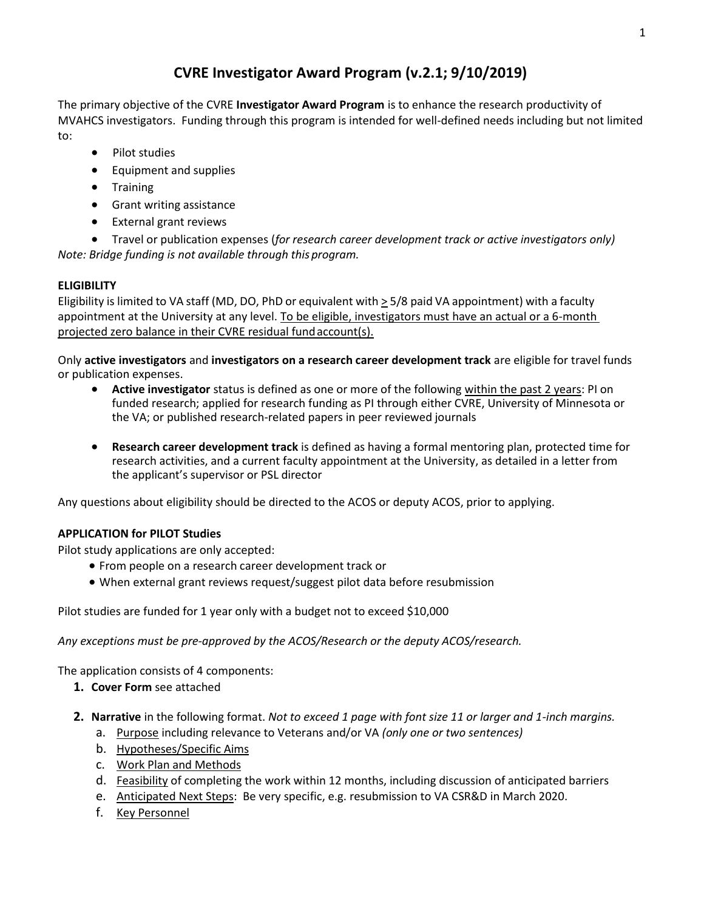## **CVRE Investigator Award Program (v.2.1; 9/10/2019)**

The primary objective of the CVRE **Investigator Award Program** is to enhance the research productivity of MVAHCS investigators. Funding through this program is intended for well-defined needs including but not limited to:

- Pilot studies
- Equipment and supplies
- Training
- Grant writing assistance
- External grant reviews

• Travel or publication expenses (*for research career development track or active investigators only) Note: Bridge funding is not available through thisprogram.*

## **ELIGIBILITY**

Eligibility is limited to VA staff (MD, DO, PhD or equivalent with  $\geq$  5/8 paid VA appointment) with a faculty appointment at the University at any level. To be eligible, investigators must have an actual or a 6-month projected zero balance in their CVRE residual fund account(s).

Only **active investigators** and **investigators on a research career development track** are eligible for travel funds or publication expenses.

- **Active investigator** status is defined as one or more of the following within the past 2 years: PI on funded research; applied for research funding as PI through either CVRE, University of Minnesota or the VA; or published research-related papers in peer reviewed journals
- **Research career development track** is defined as having a formal mentoring plan, protected time for research activities, and a current faculty appointment at the University, as detailed in a letter from the applicant's supervisor or PSL director

Any questions about eligibility should be directed to the ACOS or deputy ACOS, prior to applying.

## **APPLICATION for PILOT Studies**

Pilot study applications are only accepted:

- From people on a research career development track or
- When external grant reviews request/suggest pilot data before resubmission

Pilot studies are funded for 1 year only with a budget not to exceed \$10,000

*Any exceptions must be pre-approved by the ACOS/Research or the deputy ACOS/research.* 

The application consists of 4 components:

- **1. Cover Form** see attached
- **2. Narrative** in the following format. *Not to exceed 1 page with font size 11 or larger and 1-inch margins.*
	- a. Purpose including relevance to Veterans and/or VA *(only one or two sentences)*
	- b. Hypotheses/Specific Aims
	- c. Work Plan and Methods
	- d. Feasibility of completing the work within 12 months, including discussion of anticipated barriers
	- e. Anticipated Next Steps: Be very specific, e.g. resubmission to VA CSR&D in March 2020.
	- f. Key Personnel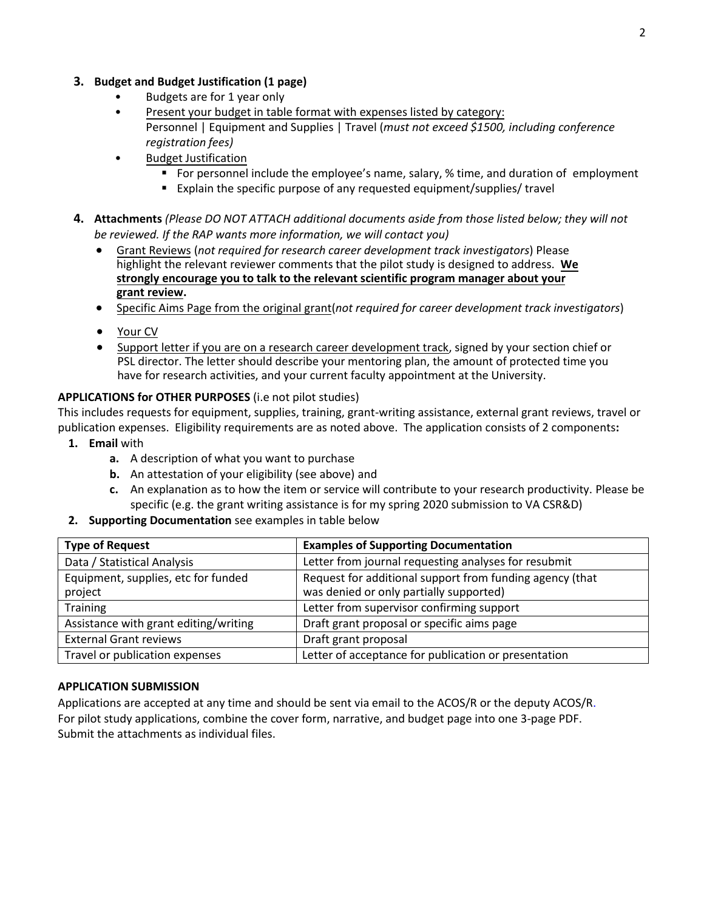#### **3. Budget and Budget Justification (1 page)**

- Budgets are for 1 year only
- Present your budget in table format with expenses listed by category: Personnel | Equipment and Supplies | Travel (*must not exceed \$1500, including conference registration fees)*
- Budget Justification
	- For personnel include the employee's name, salary, % time, and duration of employment
	- Explain the specific purpose of any requested equipment/supplies/ travel
- **4. Attachments** *(Please DO NOT ATTACH additional documents aside from those listed below; they will not be reviewed. If the RAP wants more information, we will contact you)*
	- Grant Reviews (*not required for research career development track investigators*) Please highlight the relevant reviewer comments that the pilot study is designed to address. **We strongly encourage you to talk to the relevant scientific program manager about your grant review.**
	- Specific Aims Page from the original grant(*not required for career development track investigators*)
	- Your CV
	- Support letter if you are on a research career development track, signed by your section chief or PSL director. The letter should describe your mentoring plan, the amount of protected time you have for research activities, and your current faculty appointment at the University.

#### **APPLICATIONS for OTHER PURPOSES** (i.e not pilot studies)

This includes requests for equipment, supplies, training, grant-writing assistance, external grant reviews, travel or publication expenses. Eligibility requirements are as noted above. The application consists of 2 components**:**

- **1. Email** with
	- **a.** A description of what you want to purchase
	- **b.** An attestation of your eligibility (see above) and
	- **c.** An explanation as to how the item or service will contribute to your research productivity. Please be specific (e.g. the grant writing assistance is for my spring 2020 submission to VA CSR&D)
- **2. Supporting Documentation** see examples in table below

| <b>Type of Request</b>                         | <b>Examples of Supporting Documentation</b>                                                         |
|------------------------------------------------|-----------------------------------------------------------------------------------------------------|
| Data / Statistical Analysis                    | Letter from journal requesting analyses for resubmit                                                |
| Equipment, supplies, etc for funded<br>project | Request for additional support from funding agency (that<br>was denied or only partially supported) |
| Training                                       | Letter from supervisor confirming support                                                           |
| Assistance with grant editing/writing          | Draft grant proposal or specific aims page                                                          |
| <b>External Grant reviews</b>                  | Draft grant proposal                                                                                |
| Travel or publication expenses                 | Letter of acceptance for publication or presentation                                                |

#### **APPLICATION SUBMISSION**

Applications are accepted at any time and should be sent via email to the ACOS/R or the deputy ACOS/R. For pilot study applications, combine the cover form, narrative, and budget page into one 3-page PDF. Submit the attachments as individual files.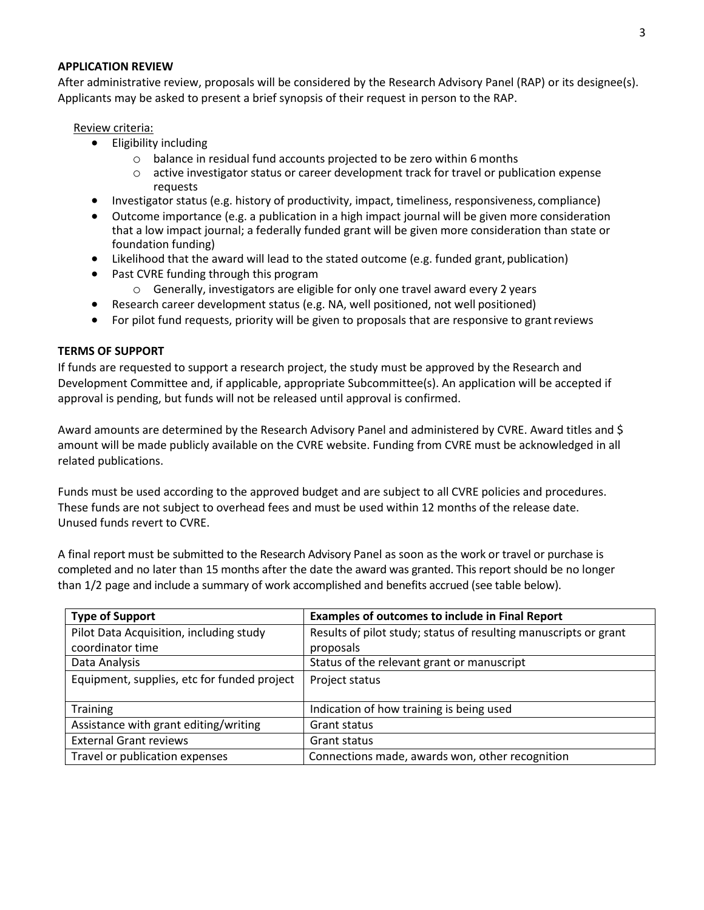#### **APPLICATION REVIEW**

After administrative review, proposals will be considered by the Research Advisory Panel (RAP) or its designee(s). Applicants may be asked to present a brief synopsis of their request in person to the RAP.

#### Review criteria:

- Eligibility including
	- o balance in residual fund accounts projected to be zero within 6 months
	- o active investigator status or career development track for travel or publication expense requests
- Investigator status (e.g. history of productivity, impact, timeliness, responsiveness, compliance)
- Outcome importance (e.g. a publication in a high impact journal will be given more consideration that a low impact journal; a federally funded grant will be given more consideration than state or foundation funding)
- Likelihood that the award will lead to the stated outcome (e.g. funded grant, publication)
- Past CVRE funding through this program
	- o Generally, investigators are eligible for only one travel award every 2 years
- Research career development status (e.g. NA, well positioned, not well positioned)
- For pilot fund requests, priority will be given to proposals that are responsive to grant reviews

#### **TERMS OF SUPPORT**

If funds are requested to support a research project, the study must be approved by the Research and Development Committee and, if applicable, appropriate Subcommittee(s). An application will be accepted if approval is pending, but funds will not be released until approval is confirmed.

Award amounts are determined by the Research Advisory Panel and administered by CVRE. Award titles and \$ amount will be made publicly available on the CVRE website. Funding from CVRE must be acknowledged in all related publications.

Funds must be used according to the approved budget and are subject to all CVRE policies and procedures. These funds are not subject to overhead fees and must be used within 12 months of the release date. Unused funds revert to CVRE.

A final report must be submitted to the Research Advisory Panel as soon as the work or travel or purchase is completed and no later than 15 months after the date the award was granted. This report should be no longer than 1/2 page and include a summary of work accomplished and benefits accrued (see table below).

| <b>Type of Support</b>                      | <b>Examples of outcomes to include in Final Report</b>           |
|---------------------------------------------|------------------------------------------------------------------|
| Pilot Data Acquisition, including study     | Results of pilot study; status of resulting manuscripts or grant |
| coordinator time                            | proposals                                                        |
| Data Analysis                               | Status of the relevant grant or manuscript                       |
| Equipment, supplies, etc for funded project | Project status                                                   |
| <b>Training</b>                             | Indication of how training is being used                         |
| Assistance with grant editing/writing       | Grant status                                                     |
| <b>External Grant reviews</b>               | Grant status                                                     |
| Travel or publication expenses              | Connections made, awards won, other recognition                  |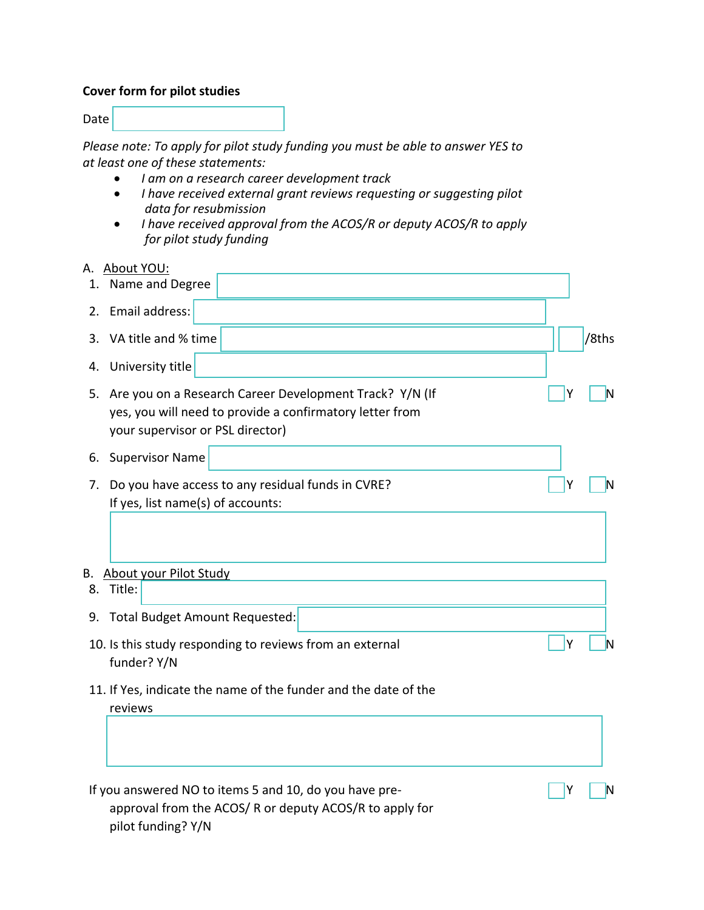## **Cover form for pilot studies**

Date

*Please note: To apply for pilot study funding you must be able to answer YES to at least one of these statements:* 

- *I am on a research career development track*
- *I have received external grant reviews requesting or suggesting pilot data for resubmission*
- *I have received approval from the ACOS/R or deputy ACOS/R to apply for pilot study funding*
- A. About YOU:

| 1. | Name and Degree                                                                                                                                         |   |       |
|----|---------------------------------------------------------------------------------------------------------------------------------------------------------|---|-------|
| 2. | Email address:                                                                                                                                          |   |       |
| 3. | VA title and % time                                                                                                                                     |   | /8ths |
| 4. | University title                                                                                                                                        |   |       |
| 5. | Are you on a Research Career Development Track? Y/N (If<br>yes, you will need to provide a confirmatory letter from<br>your supervisor or PSL director) | Υ | IN    |
| 6. | <b>Supervisor Name</b>                                                                                                                                  |   |       |
| 7. | Do you have access to any residual funds in CVRE?<br>If yes, list name(s) of accounts:                                                                  | Υ | N     |
|    | B. About your Pilot Study                                                                                                                               |   |       |
| 8. | Title:                                                                                                                                                  |   |       |
| 9. | Total Budget Amount Requested:                                                                                                                          |   |       |
|    | 10. Is this study responding to reviews from an external<br>funder? Y/N                                                                                 | Υ | IN    |
|    | 11. If Yes, indicate the name of the funder and the date of the<br>reviews                                                                              |   |       |
|    |                                                                                                                                                         |   |       |
|    | If you answered NO to items 5 and 10, do you have pre-<br>approval from the ACOS/R or deputy ACOS/R to apply for<br>pilot funding? Y/N                  | Y | IN    |